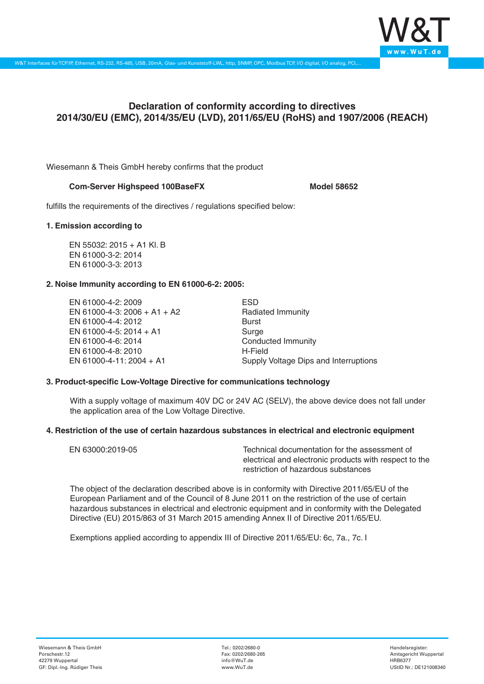

# **Declaration of conformity according to directives 2014/30/EU (EMC), 2014/35/EU (LVD), 2011/65/EU (RoHS) and 1907/2006 (REACH)**

Wiesemann & Theis GmbH hereby confirms that the product

## **Com-Server Highspeed 100BaseFX** Model 58652

fulfills the requirements of the directives / regulations specified below:

#### **1. Emission according to**

EN 55032: 2015 + A1 Kl. B EN 61000-3-2: 2014 EN 61000-3-3: 2013

### **2. Noise Immunity according to EN 61000-6-2: 2005:**

EN 61000-4-2: 2009 EN 61000-4-3: 2006 + A1 + A2 EN 61000-4-4: 2012 EN 61000-4-5: 2014 + A1 EN 61000-4-6: 2014 EN 61000-4-8: 2010 EN 61000-4-11: 2004 + A1

ESD Radiated Immunity Burst Surge Conducted Immunity H-Field Supply Voltage Dips and Interruptions

### **3. Product-specific Low-Voltage Directive for communications technology**

With a supply voltage of maximum 40V DC or 24V AC (SELV), the above device does not fall under the application area of the Low Voltage Directive.

### **4. Restriction of the use of certain hazardous substances in electrical and electronic equipment**

| EN 63000:2019-05 | Technical documentation for the assessment of          |
|------------------|--------------------------------------------------------|
|                  | electrical and electronic products with respect to the |
|                  | restriction of hazardous substances                    |

The object of the declaration described above is in conformity with Directive 2011/65/EU of the European Parliament and of the Council of 8 June 2011 on the restriction of the use of certain hazardous substances in electrical and electronic equipment and in conformity with the Delegated Directive (EU) 2015/863 of 31 March 2015 amending Annex II of Directive 2011/65/EU.

Exemptions applied according to appendix III of Directive 2011/65/EU: 6c, 7a., 7c. I